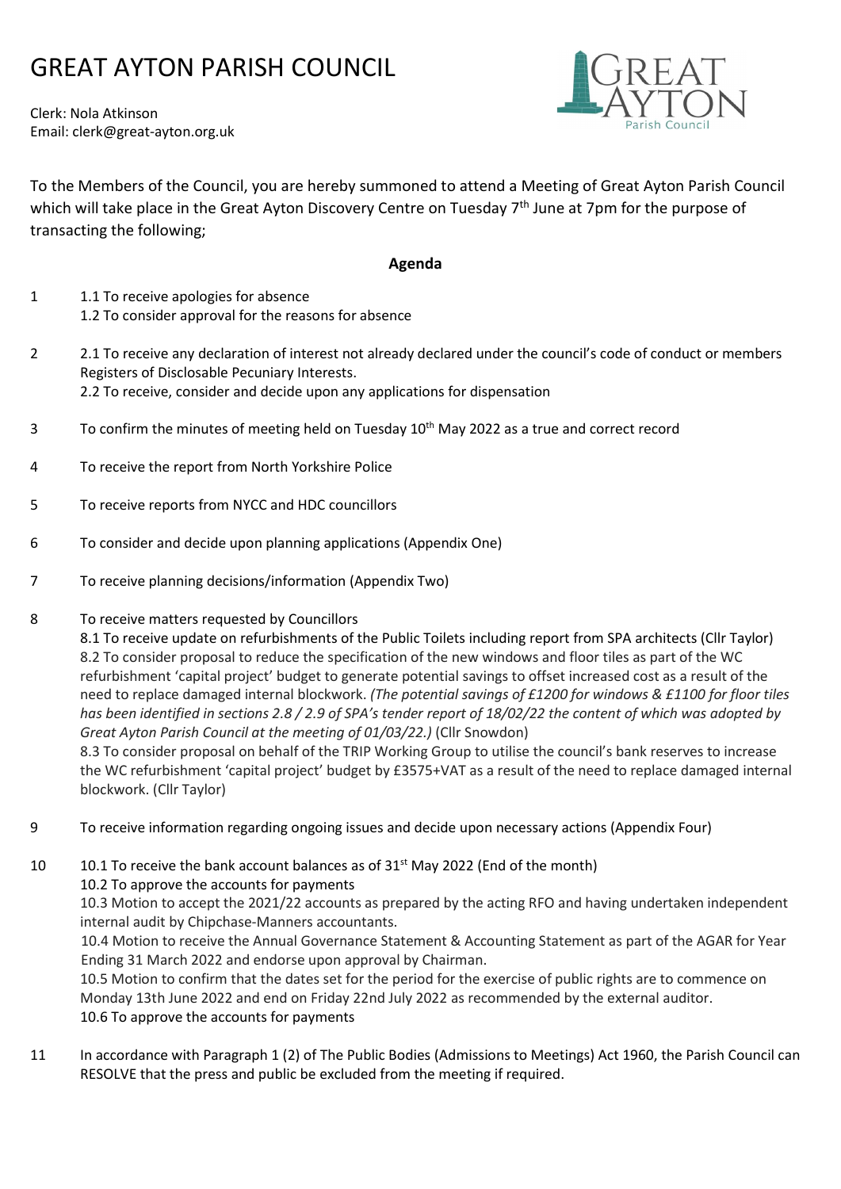# GREAT AYTON PARISH COUNCIL

Clerk: Nola Atkinson Email: clerk@great-ayton.org.uk



To the Members of the Council, you are hereby summoned to attend a Meeting of Great Ayton Parish Council which will take place in the Great Ayton Discovery Centre on Tuesday 7<sup>th</sup> June at 7pm for the purpose of transacting the following;

### Agenda

- 1 1.1 To receive apologies for absence 1.2 To consider approval for the reasons for absence
- 2.1 To receive any declaration of interest not already declared under the council's code of conduct or members Registers of Disclosable Pecuniary Interests. 2.2 To receive, consider and decide upon any applications for dispensation
- 3 To confirm the minutes of meeting held on Tuesday 10<sup>th</sup> May 2022 as a true and correct record
- 4 To receive the report from North Yorkshire Police
- 5 To receive reports from NYCC and HDC councillors
- 6 To consider and decide upon planning applications (Appendix One)
- 7 To receive planning decisions/information (Appendix Two)

#### 8 To receive matters requested by Councillors

 8.1 To receive update on refurbishments of the Public Toilets including report from SPA architects (Cllr Taylor) 8.2 To consider proposal to reduce the specification of the new windows and floor tiles as part of the WC refurbishment 'capital project' budget to generate potential savings to offset increased cost as a result of the need to replace damaged internal blockwork. (The potential savings of £1200 for windows & £1100 for floor tiles has been identified in sections 2.8 / 2.9 of SPA's tender report of 18/02/22 the content of which was adopted by Great Ayton Parish Council at the meeting of 01/03/22.) (Cllr Snowdon)

8.3 To consider proposal on behalf of the TRIP Working Group to utilise the council's bank reserves to increase the WC refurbishment 'capital project' budget by £3575+VAT as a result of the need to replace damaged internal blockwork. (Cllr Taylor)

9 To receive information regarding ongoing issues and decide upon necessary actions (Appendix Four)

10 10.1 To receive the bank account balances as of  $31<sup>st</sup>$  May 2022 (End of the month)

10.2 To approve the accounts for payments

10.3 Motion to accept the 2021/22 accounts as prepared by the acting RFO and having undertaken independent internal audit by Chipchase-Manners accountants.

10.4 Motion to receive the Annual Governance Statement & Accounting Statement as part of the AGAR for Year Ending 31 March 2022 and endorse upon approval by Chairman.

10.5 Motion to confirm that the dates set for the period for the exercise of public rights are to commence on Monday 13th June 2022 and end on Friday 22nd July 2022 as recommended by the external auditor. 10.6 To approve the accounts for payments

11 In accordance with Paragraph 1 (2) of The Public Bodies (Admissions to Meetings) Act 1960, the Parish Council can RESOLVE that the press and public be excluded from the meeting if required.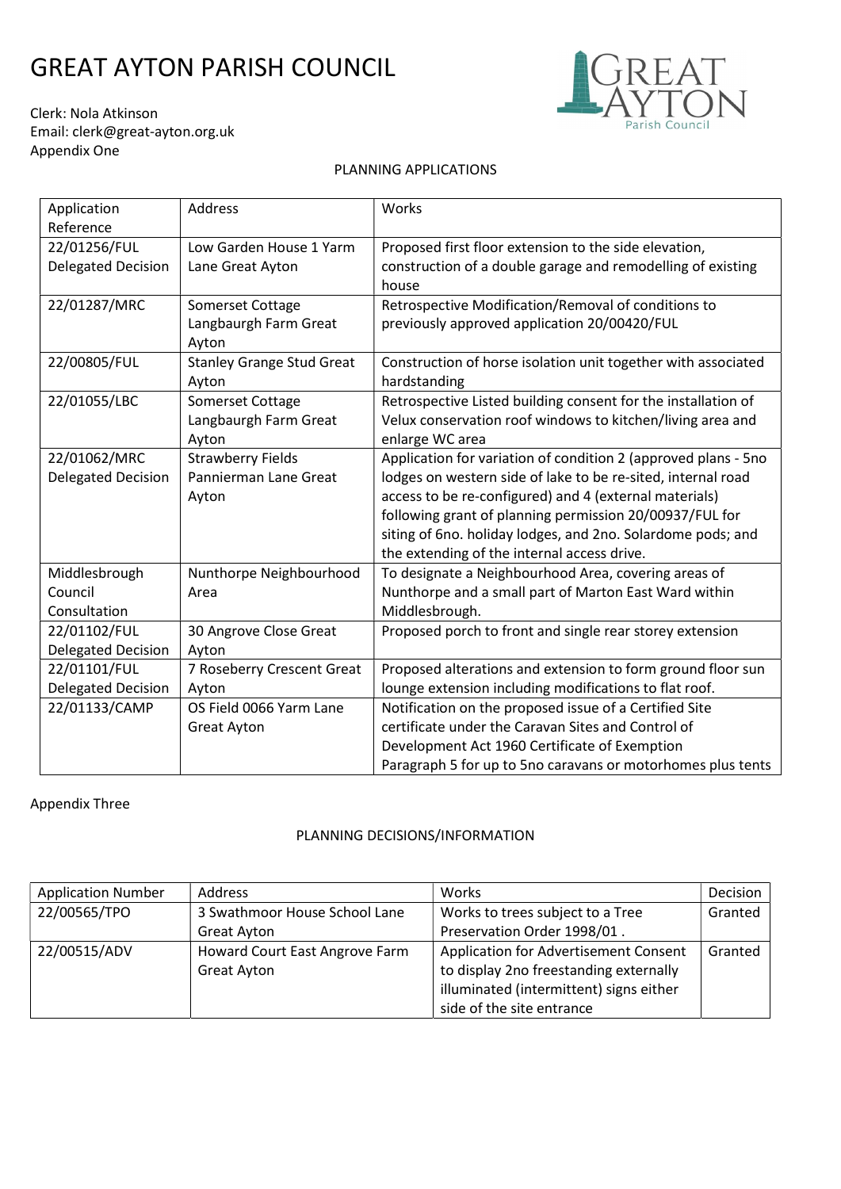# GREAT AYTON PARISH COUNCIL



Clerk: Nola Atkinson Email: clerk@great-ayton.org.uk Appendix One

#### PLANNING APPLICATIONS

| Application               | Address                          | Works                                                          |
|---------------------------|----------------------------------|----------------------------------------------------------------|
| Reference                 |                                  |                                                                |
| 22/01256/FUL              | Low Garden House 1 Yarm          | Proposed first floor extension to the side elevation,          |
| <b>Delegated Decision</b> | Lane Great Ayton                 | construction of a double garage and remodelling of existing    |
|                           |                                  | house                                                          |
| 22/01287/MRC              | Somerset Cottage                 | Retrospective Modification/Removal of conditions to            |
|                           | Langbaurgh Farm Great            | previously approved application 20/00420/FUL                   |
|                           | Ayton                            |                                                                |
| 22/00805/FUL              | <b>Stanley Grange Stud Great</b> | Construction of horse isolation unit together with associated  |
|                           | Ayton                            | hardstanding                                                   |
| 22/01055/LBC              | Somerset Cottage                 | Retrospective Listed building consent for the installation of  |
|                           | Langbaurgh Farm Great            | Velux conservation roof windows to kitchen/living area and     |
|                           | Ayton                            | enlarge WC area                                                |
| 22/01062/MRC              | <b>Strawberry Fields</b>         | Application for variation of condition 2 (approved plans - 5no |
| <b>Delegated Decision</b> | Pannierman Lane Great            | lodges on western side of lake to be re-sited, internal road   |
|                           | Ayton                            | access to be re-configured) and 4 (external materials)         |
|                           |                                  | following grant of planning permission 20/00937/FUL for        |
|                           |                                  | siting of 6no. holiday lodges, and 2no. Solardome pods; and    |
|                           |                                  | the extending of the internal access drive.                    |
| Middlesbrough             | Nunthorpe Neighbourhood          | To designate a Neighbourhood Area, covering areas of           |
| Council                   | Area                             | Nunthorpe and a small part of Marton East Ward within          |
| Consultation              |                                  | Middlesbrough.                                                 |
| 22/01102/FUL              | 30 Angrove Close Great           | Proposed porch to front and single rear storey extension       |
| <b>Delegated Decision</b> | Ayton                            |                                                                |
| 22/01101/FUL              | 7 Roseberry Crescent Great       | Proposed alterations and extension to form ground floor sun    |
| <b>Delegated Decision</b> | Ayton                            | lounge extension including modifications to flat roof.         |
| 22/01133/CAMP             | OS Field 0066 Yarm Lane          | Notification on the proposed issue of a Certified Site         |
|                           | <b>Great Ayton</b>               | certificate under the Caravan Sites and Control of             |
|                           |                                  | Development Act 1960 Certificate of Exemption                  |
|                           |                                  | Paragraph 5 for up to 5no caravans or motorhomes plus tents    |

### Appendix Three

#### PLANNING DECISIONS/INFORMATION

| <b>Application Number</b> | Address                        | Works                                   | Decision |
|---------------------------|--------------------------------|-----------------------------------------|----------|
| 22/00565/TPO              | 3 Swathmoor House School Lane  | Works to trees subject to a Tree        | Granted  |
|                           | Great Ayton                    | Preservation Order 1998/01.             |          |
| 22/00515/ADV              | Howard Court East Angrove Farm | Application for Advertisement Consent   | Granted  |
|                           | <b>Great Ayton</b>             | to display 2no freestanding externally  |          |
|                           |                                | illuminated (intermittent) signs either |          |
|                           |                                | side of the site entrance               |          |